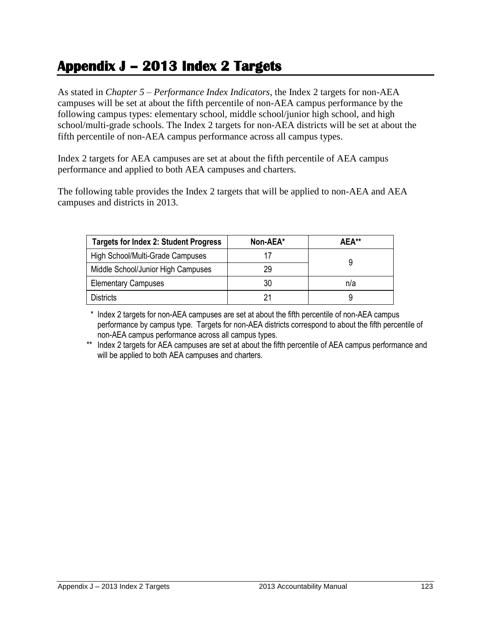## **Appendix J – 2013 Index 2 Targets**

As stated in *Chapter 5 – Performance Index Indicators*, the Index 2 targets for non-AEA campuses will be set at about the fifth percentile of non-AEA campus performance by the following campus types: elementary school, middle school/junior high school, and high school/multi-grade schools. The Index 2 targets for non-AEA districts will be set at about the fifth percentile of non-AEA campus performance across all campus types.

Index 2 targets for AEA campuses are set at about the fifth percentile of AEA campus performance and applied to both AEA campuses and charters.

The following table provides the Index 2 targets that will be applied to non-AEA and AEA campuses and districts in 2013.

| <b>Targets for Index 2: Student Progress</b> | Non-AEA* | AEA** |
|----------------------------------------------|----------|-------|
| High School/Multi-Grade Campuses             |          |       |
| Middle School/Junior High Campuses           | 29       |       |
| <b>Elementary Campuses</b>                   | 30       | n/a   |
| <b>Districts</b>                             |          |       |

 \* Index 2 targets for non-AEA campuses are set at about the fifth percentile of non-AEA campus performance by campus type. Targets for non-AEA districts correspond to about the fifth percentile of non-AEA campus performance across all campus types.

\*\* Index 2 targets for AEA campuses are set at about the fifth percentile of AEA campus performance and will be applied to both AEA campuses and charters.